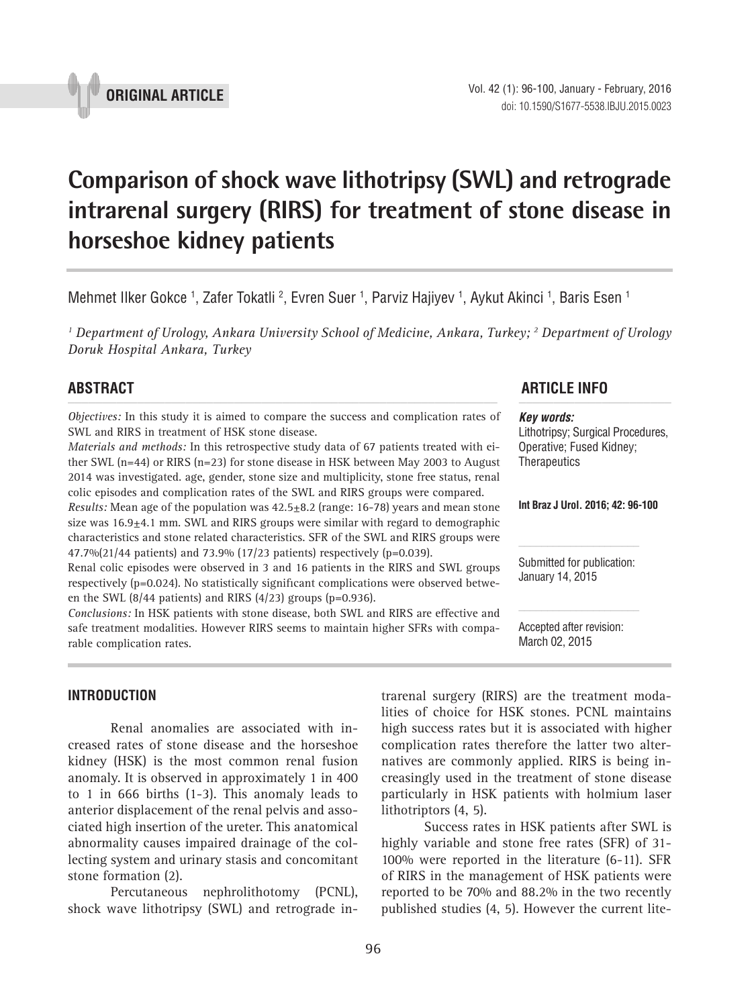

# **Comparison of shock wave lithotripsy (SWL) and retrograde intrarenal surgery (RIRS) for treatment of stone disease in horseshoe kidney patients \_\_\_\_\_\_\_\_\_\_\_\_\_\_\_\_\_\_\_\_\_\_\_\_\_\_\_\_\_\_\_\_\_\_\_\_\_\_\_\_\_\_\_\_\_\_\_**

Mehmet Ilker Gokce <sup>1</sup>, Zafer Tokatli <sup>2</sup>, Evren Suer <sup>1</sup>, Parviz Hajiyev <sup>1</sup>, Aykut Akinci <sup>1</sup>, Baris Esen 1

<sup>1</sup> Department of Urology, Ankara University School of Medicine, Ankara, Turkey; <sup>2</sup> Department of Urology *Doruk Hospital Ankara, Turkey*

*Objectives:* In this study it is aimed to compare the success and complication rates of SWL and RIRS in treatment of HSK stone disease.

*Materials and methods:* In this retrospective study data of 67 patients treated with either SWL (n=44) or RIRS (n=23) for stone disease in HSK between May 2003 to August 2014 was investigated. age, gender, stone size and multiplicity, stone free status, renal colic episodes and complication rates of the SWL and RIRS groups were compared.

*Results:* Mean age of the population was 42.5+8.2 (range: 16-78) years and mean stone size was 16.9+4.1 mm. SWL and RIRS groups were similar with regard to demographic characteristics and stone related characteristics. SFR of the SWL and RIRS groups were  $47.7\%$ (21/44 patients) and 73.9% (17/23 patients) respectively (p=0.039).

Renal colic episodes were observed in 3 and 16 patients in the RIRS and SWL groups respectively (p=0.024). No statistically significant complications were observed between the SWL  $(8/44$  patients) and RIRS  $(4/23)$  groups  $(p=0.936)$ .

*Conclusions:* In HSK patients with stone disease, both SWL and RIRS are effective and safe treatment modalities. However RIRS seems to maintain higher SFRs with comparable complication rates.

# **ABSTRACT ARTICLE INFO** *\_\_\_\_\_\_\_\_\_\_\_\_\_\_\_\_\_\_\_\_\_\_\_\_\_\_\_\_\_\_\_\_\_\_\_\_\_\_\_\_\_\_\_\_\_\_\_\_\_\_\_\_\_\_\_\_\_\_\_\_\_\_ \_\_\_\_\_\_\_\_\_\_\_\_\_\_\_\_\_\_\_\_\_\_*

*Key words:* Lithotripsy; Surgical Procedures, Operative; Fused Kidney; **Therapeutics** 

**Int Braz J Urol. 2016; 42: 96-100**

Submitted for publication: January 14, 2015

Accepted after revision: March 02, 2015

# **INTRODUCTION**

Renal anomalies are associated with increased rates of stone disease and the horseshoe kidney (HSK) is the most common renal fusion anomaly. It is observed in approximately 1 in 400 to 1 in 666 births (1-3). This anomaly leads to anterior displacement of the renal pelvis and associated high insertion of the ureter. This anatomical abnormality causes impaired drainage of the collecting system and urinary stasis and concomitant stone formation (2).

Percutaneous nephrolithotomy (PCNL), shock wave lithotripsy (SWL) and retrograde intrarenal surgery (RIRS) are the treatment modalities of choice for HSK stones. PCNL maintains high success rates but it is associated with higher complication rates therefore the latter two alternatives are commonly applied. RIRS is being increasingly used in the treatment of stone disease particularly in HSK patients with holmium laser lithotriptors (4, 5).

Success rates in HSK patients after SWL is highly variable and stone free rates (SFR) of 31- 100% were reported in the literature (6-11). SFR of RIRS in the management of HSK patients were reported to be 70% and 88.2% in the two recently published studies (4, 5). However the current lite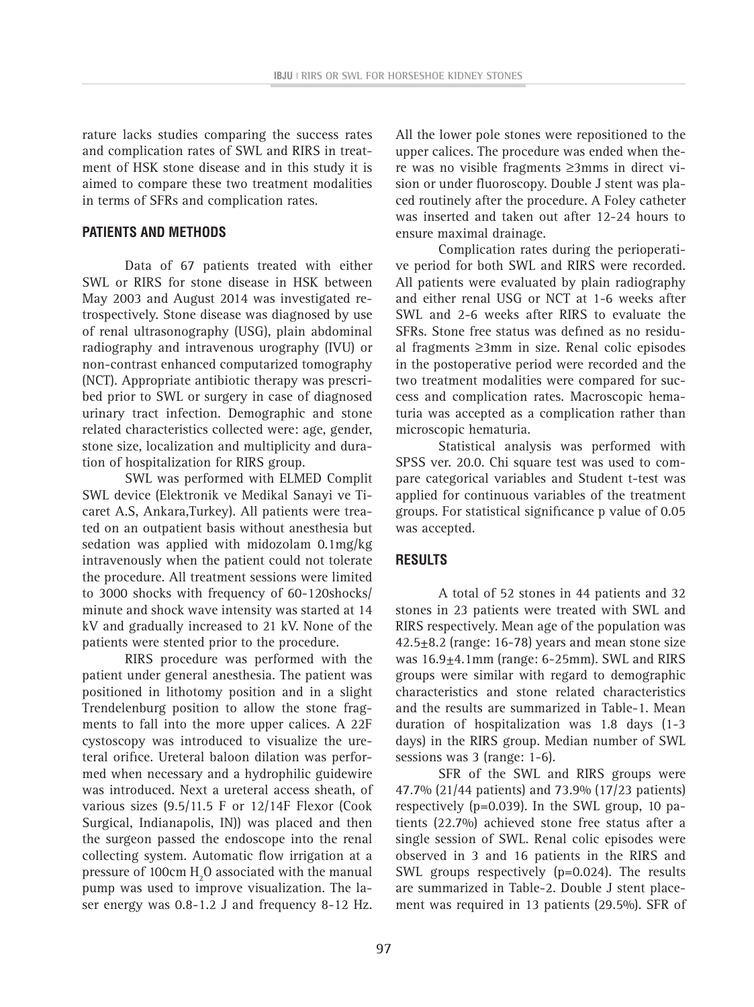rature lacks studies comparing the success rates and complication rates of SWL and RIRS in treatment of HSK stone disease and in this study it is aimed to compare these two treatment modalities in terms of SFRs and complication rates.

## **PATIENTS AND METHODS**

Data of 67 patients treated with either SWL or RIRS for stone disease in HSK between May 2003 and August 2014 was investigated retrospectively. Stone disease was diagnosed by use of renal ultrasonography (USG), plain abdominal radiography and intravenous urography (IVU) or non-contrast enhanced computarized tomography (NCT). Appropriate antibiotic therapy was prescribed prior to SWL or surgery in case of diagnosed urinary tract infection. Demographic and stone related characteristics collected were: age, gender, stone size, localization and multiplicity and duration of hospitalization for RIRS group.

SWL was performed with ELMED Complit SWL device (Elektronik ve Medikal Sanayi ve Ticaret A.S, Ankara,Turkey). All patients were treated on an outpatient basis without anesthesia but sedation was applied with midozolam 0.1mg/kg intravenously when the patient could not tolerate the procedure. All treatment sessions were limited to 3000 shocks with frequency of 60-120shocks/ minute and shock wave intensity was started at 14 kV and gradually increased to 21 kV. None of the patients were stented prior to the procedure.

RIRS procedure was performed with the patient under general anesthesia. The patient was positioned in lithotomy position and in a slight Trendelenburg position to allow the stone fragments to fall into the more upper calices. A 22F cystoscopy was introduced to visualize the ureteral orifice. Ureteral baloon dilation was performed when necessary and a hydrophilic guidewire was introduced. Next a ureteral access sheath, of various sizes (9.5/11.5 F or 12/14F Flexor (Cook Surgical, Indianapolis, IN)) was placed and then the surgeon passed the endoscope into the renal collecting system. Automatic flow irrigation at a pressure of 100cm  $\rm H_2O$  associated with the manual pump was used to improve visualization. The laser energy was 0.8-1.2 J and frequency 8-12 Hz.

All the lower pole stones were repositioned to the upper calices. The procedure was ended when there was no visible fragments ≥3mms in direct vision or under fluoroscopy. Double J stent was placed routinely after the procedure. A Foley catheter was inserted and taken out after 12-24 hours to ensure maximal drainage.

Complication rates during the perioperative period for both SWL and RIRS were recorded. All patients were evaluated by plain radiography and either renal USG or NCT at 1-6 weeks after SWL and 2-6 weeks after RIRS to evaluate the SFRs. Stone free status was defined as no residual fragments ≥3mm in size. Renal colic episodes in the postoperative period were recorded and the two treatment modalities were compared for success and complication rates. Macroscopic hematuria was accepted as a complication rather than microscopic hematuria.

Statistical analysis was performed with SPSS ver. 20.0. Chi square test was used to compare categorical variables and Student t-test was applied for continuous variables of the treatment groups. For statistical significance p value of 0.05 was accepted.

# **RESULTS**

A total of 52 stones in 44 patients and 32 stones in 23 patients were treated with SWL and RIRS respectively. Mean age of the population was  $42.5\pm8.2$  (range: 16-78) years and mean stone size was 16.9±4.1mm (range: 6-25mm). SWL and RIRS groups were similar with regard to demographic characteristics and stone related characteristics and the results are summarized in Table-1. Mean duration of hospitalization was 1.8 days (1-3 days) in the RIRS group. Median number of SWL sessions was 3 (range: 1-6).

SFR of the SWL and RIRS groups were 47.7% (21/44 patients) and 73.9% (17/23 patients) respectively (p=0.039). In the SWL group, 10 patients (22.7%) achieved stone free status after a single session of SWL. Renal colic episodes were observed in 3 and 16 patients in the RIRS and SWL groups respectively (p=0.024). The results are summarized in Table-2. Double J stent placement was required in 13 patients (29.5%). SFR of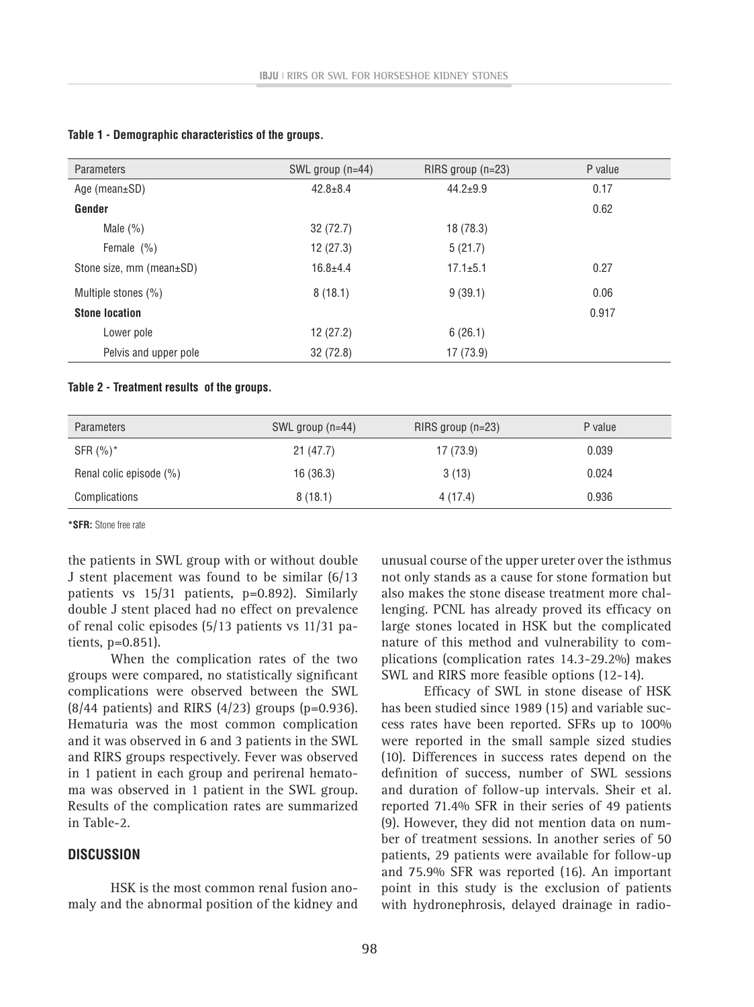| <b>Parameters</b>        | SWL group $(n=44)$ | $RIRS$ group (n=23) | P value |
|--------------------------|--------------------|---------------------|---------|
| Age (mean $\pm$ SD)      | $42.8 \pm 8.4$     | $44.2 \pm 9.9$      | 0.17    |
| Gender                   |                    |                     | 0.62    |
| Male $(\% )$             | 32(72.7)           | 18(78.3)            |         |
| Female $(\% )$           | 12(27.3)           | 5(21.7)             |         |
| Stone size, mm (mean±SD) | $16.8 + 4.4$       | $17.1 \pm 5.1$      | 0.27    |
| Multiple stones (%)      | 8(18.1)            | 9(39.1)             | 0.06    |
| <b>Stone location</b>    |                    |                     | 0.917   |
| Lower pole               | 12(27.2)           | 6(26.1)             |         |
| Pelvis and upper pole    | 32 (72.8)          | 17 (73.9)           |         |

#### **Table 1 - Demographic characteristics of the groups.**

#### **Table 2 - Treatment results of the groups.**

| Parameters              | SWL group $(n=44)$ | $RIRS$ group (n=23) | P value |
|-------------------------|--------------------|---------------------|---------|
| SFR $(\%)^*$            | 21(47.7)           | 17 (73.9)           | 0.039   |
| Renal colic episode (%) | 16 (36.3)          | 3(13)               | 0.024   |
| Complications           | 8(18.1)            | 4(17.4)             | 0.936   |

**\*SFR:** Stone free rate

the patients in SWL group with or without double J stent placement was found to be similar (6/13 patients vs 15/31 patients, p=0.892). Similarly double J stent placed had no effect on prevalence of renal colic episodes (5/13 patients vs 11/31 patients, p=0.851).

When the complication rates of the two groups were compared, no statistically significant complications were observed between the SWL  $(8/44$  patients) and RIRS  $(4/23)$  groups (p=0.936). Hematuria was the most common complication and it was observed in 6 and 3 patients in the SWL and RIRS groups respectively. Fever was observed in 1 patient in each group and perirenal hematoma was observed in 1 patient in the SWL group. Results of the complication rates are summarized in Table-2.

### **DISCUSSION**

HSK is the most common renal fusion anomaly and the abnormal position of the kidney and unusual course of the upper ureter over the isthmus not only stands as a cause for stone formation but also makes the stone disease treatment more challenging. PCNL has already proved its efficacy on large stones located in HSK but the complicated nature of this method and vulnerability to complications (complication rates 14.3-29.2%) makes SWL and RIRS more feasible options (12-14).

Efficacy of SWL in stone disease of HSK has been studied since 1989 (15) and variable success rates have been reported. SFRs up to 100% were reported in the small sample sized studies (10). Differences in success rates depend on the definition of success, number of SWL sessions and duration of follow-up intervals. Sheir et al. reported 71.4% SFR in their series of 49 patients (9). However, they did not mention data on number of treatment sessions. In another series of 50 patients, 29 patients were available for follow-up and 75.9% SFR was reported (16). An important point in this study is the exclusion of patients with hydronephrosis, delayed drainage in radio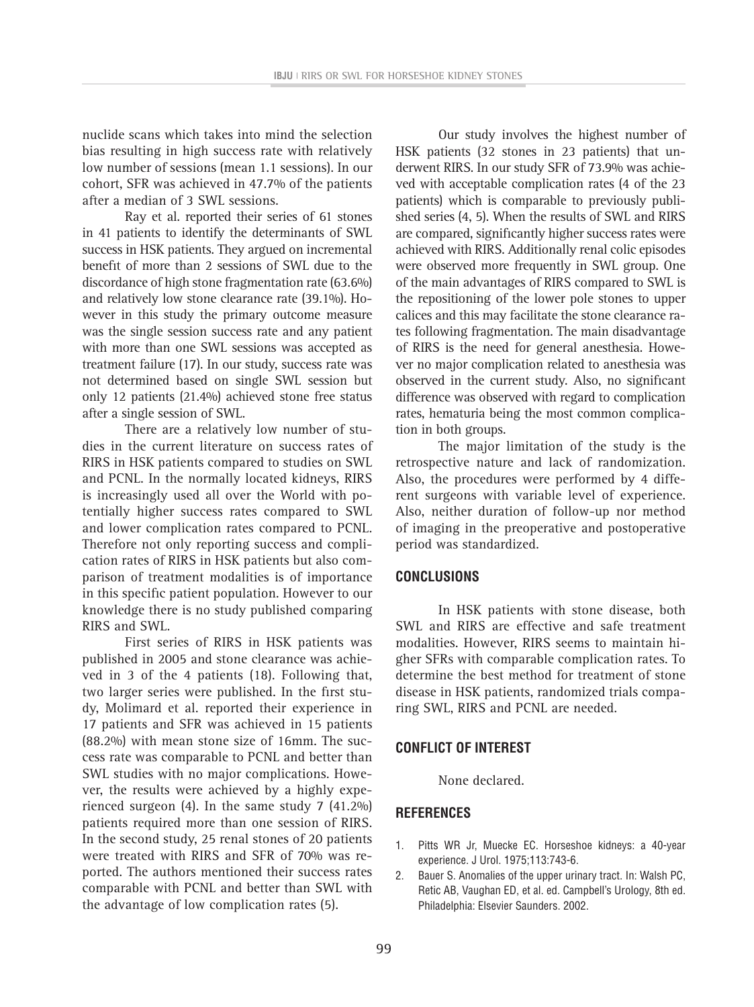nuclide scans which takes into mind the selection bias resulting in high success rate with relatively low number of sessions (mean 1.1 sessions). In our cohort, SFR was achieved in 47.7% of the patients after a median of 3 SWL sessions.

Ray et al. reported their series of 61 stones in 41 patients to identify the determinants of SWL success in HSK patients. They argued on incremental benefit of more than 2 sessions of SWL due to the discordance of high stone fragmentation rate (63.6%) and relatively low stone clearance rate (39.1%). However in this study the primary outcome measure was the single session success rate and any patient with more than one SWL sessions was accepted as treatment failure (17). In our study, success rate was not determined based on single SWL session but only 12 patients (21.4%) achieved stone free status after a single session of SWL.

There are a relatively low number of studies in the current literature on success rates of RIRS in HSK patients compared to studies on SWL and PCNL. In the normally located kidneys, RIRS is increasingly used all over the World with potentially higher success rates compared to SWL and lower complication rates compared to PCNL. Therefore not only reporting success and complication rates of RIRS in HSK patients but also comparison of treatment modalities is of importance in this specific patient population. However to our knowledge there is no study published comparing RIRS and SWL.

First series of RIRS in HSK patients was published in 2005 and stone clearance was achieved in 3 of the 4 patients (18). Following that, two larger series were published. In the first study, Molimard et al. reported their experience in 17 patients and SFR was achieved in 15 patients (88.2%) with mean stone size of 16mm. The success rate was comparable to PCNL and better than SWL studies with no major complications. However, the results were achieved by a highly experienced surgeon (4). In the same study 7 (41.2%) patients required more than one session of RIRS. In the second study, 25 renal stones of 20 patients were treated with RIRS and SFR of 70% was reported. The authors mentioned their success rates comparable with PCNL and better than SWL with the advantage of low complication rates (5).

Our study involves the highest number of HSK patients (32 stones in 23 patients) that underwent RIRS. In our study SFR of 73.9% was achieved with acceptable complication rates (4 of the 23 patients) which is comparable to previously published series (4, 5). When the results of SWL and RIRS are compared, significantly higher success rates were achieved with RIRS. Additionally renal colic episodes were observed more frequently in SWL group. One of the main advantages of RIRS compared to SWL is the repositioning of the lower pole stones to upper calices and this may facilitate the stone clearance rates following fragmentation. The main disadvantage of RIRS is the need for general anesthesia. However no major complication related to anesthesia was observed in the current study. Also, no significant difference was observed with regard to complication rates, hematuria being the most common complication in both groups.

The major limitation of the study is the retrospective nature and lack of randomization. Also, the procedures were performed by 4 different surgeons with variable level of experience. Also, neither duration of follow-up nor method of imaging in the preoperative and postoperative period was standardized.

# **CONCLUSIONS**

In HSK patients with stone disease, both SWL and RIRS are effective and safe treatment modalities. However, RIRS seems to maintain higher SFRs with comparable complication rates. To determine the best method for treatment of stone disease in HSK patients, randomized trials comparing SWL, RIRS and PCNL are needed.

### **CONFLICT OF INTEREST**

None declared.

# **REFERENCES**

- 1. Pitts WR Jr, Muecke EC. Horseshoe kidneys: a 40-year experience. J Urol. 1975;113:743-6.
- 2. Bauer S. Anomalies of the upper urinary tract. In: Walsh PC, Retic AB, Vaughan ED, et al. ed. Campbell's Urology, 8th ed. Philadelphia: Elsevier Saunders. 2002.